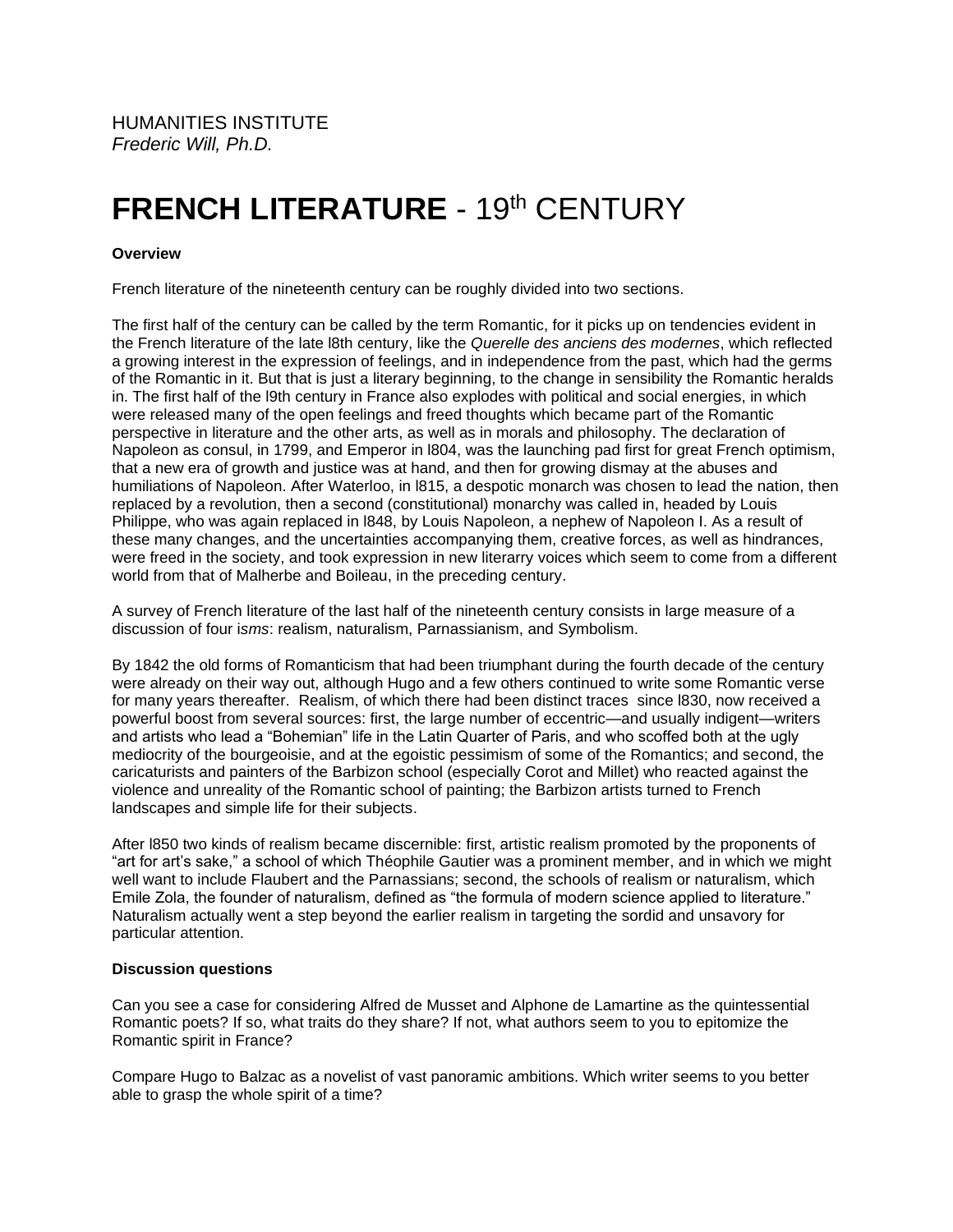HUMANITIES INSTITUTE *Frederic Will, Ph.D.*

## **FRENCH LITERATURE - 19th CENTURY**

## **Overview**

French literature of the nineteenth century can be roughly divided into two sections.

The first half of the century can be called by the term Romantic, for it picks up on tendencies evident in the French literature of the late l8th century, like the *Querelle des anciens des modernes*, which reflected a growing interest in the expression of feelings, and in independence from the past, which had the germs of the Romantic in it. But that is just a literary beginning, to the change in sensibility the Romantic heralds in. The first half of the l9th century in France also explodes with political and social energies, in which were released many of the open feelings and freed thoughts which became part of the Romantic perspective in literature and the other arts, as well as in morals and philosophy. The declaration of Napoleon as consul, in 1799, and Emperor in l804, was the launching pad first for great French optimism, that a new era of growth and justice was at hand, and then for growing dismay at the abuses and humiliations of Napoleon. After Waterloo, in l815, a despotic monarch was chosen to lead the nation, then replaced by a revolution, then a second (constitutional) monarchy was called in, headed by Louis Philippe, who was again replaced in l848, by Louis Napoleon, a nephew of Napoleon I. As a result of these many changes, and the uncertainties accompanying them, creative forces, as well as hindrances, were freed in the society, and took expression in new literarry voices which seem to come from a different world from that of Malherbe and Boileau, in the preceding century.

A survey of French literature of the last half of the nineteenth century consists in large measure of a discussion of four i*sms*: realism, naturalism, Parnassianism, and Symbolism.

By 1842 the old forms of Romanticism that had been triumphant during the fourth decade of the century were already on their way out, although Hugo and a few others continued to write some Romantic verse for many years thereafter. Realism, of which there had been distinct traces since l830, now received a powerful boost from several sources: first, the large number of eccentric—and usually indigent—writers and artists who lead a "Bohemian" life in the Latin Quarter of Paris, and who scoffed both at the ugly mediocrity of the bourgeoisie, and at the egoistic pessimism of some of the Romantics; and second, the caricaturists and painters of the Barbizon school (especially Corot and Millet) who reacted against the violence and unreality of the Romantic school of painting; the Barbizon artists turned to French landscapes and simple life for their subjects.

After l850 two kinds of realism became discernible: first, artistic realism promoted by the proponents of "art for art's sake," a school of which Théophile Gautier was a prominent member, and in which we might well want to include Flaubert and the Parnassians; second, the schools of realism or naturalism, which Emile Zola, the founder of naturalism, defined as "the formula of modern science applied to literature." Naturalism actually went a step beyond the earlier realism in targeting the sordid and unsavory for particular attention.

## **Discussion questions**

Can you see a case for considering Alfred de Musset and Alphone de Lamartine as the quintessential Romantic poets? If so, what traits do they share? If not, what authors seem to you to epitomize the Romantic spirit in France?

Compare Hugo to Balzac as a novelist of vast panoramic ambitions. Which writer seems to you better able to grasp the whole spirit of a time?